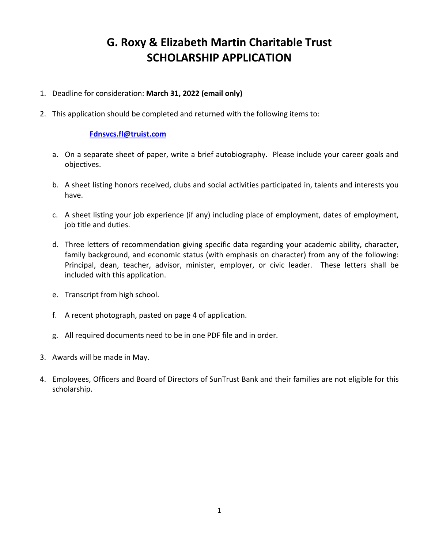## **G. Roxy & Elizabeth Martin Charitable Trust SCHOLARSHIP APPLICATION**

- 1. Deadline for consideration: **March 31, 2022 (email only)**
- 2. This application should be completed and returned with the following items to:

## **[Fdnsvcs.fl@truist.com](mailto:Fdnsvcs.fl@truist.com)**

- a. On a separate sheet of paper, write a brief autobiography. Please include your career goals and objectives.
- b. A sheet listing honors received, clubs and social activities participated in, talents and interests you have.
- c. A sheet listing your job experience (if any) including place of employment, dates of employment, job title and duties.
- d. Three letters of recommendation giving specific data regarding your academic ability, character, family background, and economic status (with emphasis on character) from any of the following: Principal, dean, teacher, advisor, minister, employer, or civic leader. These letters shall be included with this application.
- e. Transcript from high school.
- f. A recent photograph, pasted on page 4 of application.
- g. All required documents need to be in one PDF file and in order.
- 3. Awards will be made in May.
- 4. Employees, Officers and Board of Directors of SunTrust Bank and their families are not eligible for this scholarship.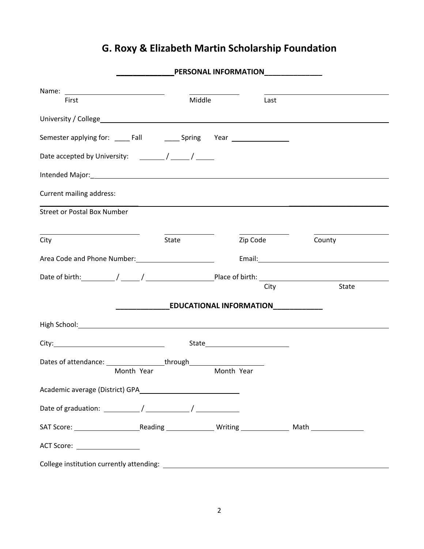## **G. Roxy & Elizabeth Martin Scholarship Foundation**

|                                                                                                |       | <b>PERSONAL INFORMATION_</b> |      | <u> 1989 - Johann Barbara, martin d</u> |  |
|------------------------------------------------------------------------------------------------|-------|------------------------------|------|-----------------------------------------|--|
|                                                                                                |       |                              |      |                                         |  |
| First                                                                                          |       | <b>Middle Middle</b>         | Last |                                         |  |
|                                                                                                |       |                              |      |                                         |  |
|                                                                                                |       |                              |      |                                         |  |
|                                                                                                |       |                              |      |                                         |  |
|                                                                                                |       |                              |      |                                         |  |
| Current mailing address:                                                                       |       |                              |      |                                         |  |
| <b>Street or Postal Box Number</b>                                                             |       |                              |      |                                         |  |
| City                                                                                           | State |                              |      | Zip Code County                         |  |
|                                                                                                |       |                              |      |                                         |  |
|                                                                                                |       |                              |      |                                         |  |
|                                                                                                |       |                              | City | State                                   |  |
|                                                                                                |       |                              |      |                                         |  |
|                                                                                                |       |                              |      |                                         |  |
|                                                                                                |       |                              |      |                                         |  |
| Dates of attendance: __________________through__________________________________<br>Month Year |       | Month Year                   |      |                                         |  |
|                                                                                                |       |                              |      |                                         |  |
|                                                                                                |       |                              |      |                                         |  |
|                                                                                                |       |                              |      |                                         |  |
| ACT Score: ___________________                                                                 |       |                              |      |                                         |  |
| College institution currently attending:                                                       |       |                              |      |                                         |  |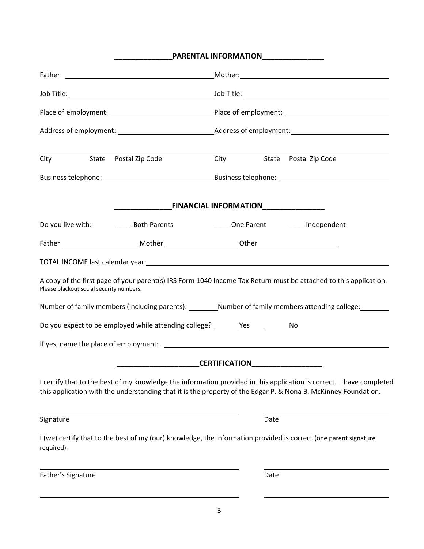|                                          | PARENTAL INFORMATION_______________                                               |                                                                                                                                                                                                                                        |  |  |  |  |
|------------------------------------------|-----------------------------------------------------------------------------------|----------------------------------------------------------------------------------------------------------------------------------------------------------------------------------------------------------------------------------------|--|--|--|--|
|                                          |                                                                                   |                                                                                                                                                                                                                                        |  |  |  |  |
|                                          |                                                                                   |                                                                                                                                                                                                                                        |  |  |  |  |
|                                          |                                                                                   |                                                                                                                                                                                                                                        |  |  |  |  |
|                                          |                                                                                   |                                                                                                                                                                                                                                        |  |  |  |  |
| City State Postal Zip Code               | City State Postal Zip Code                                                        |                                                                                                                                                                                                                                        |  |  |  |  |
|                                          |                                                                                   |                                                                                                                                                                                                                                        |  |  |  |  |
|                                          | <b>EINANCIAL INFORMATION</b>                                                      |                                                                                                                                                                                                                                        |  |  |  |  |
|                                          |                                                                                   |                                                                                                                                                                                                                                        |  |  |  |  |
|                                          |                                                                                   |                                                                                                                                                                                                                                        |  |  |  |  |
| Please blackout social security numbers. |                                                                                   | A copy of the first page of your parent(s) IRS Form 1040 Income Tax Return must be attached to this application.                                                                                                                       |  |  |  |  |
|                                          |                                                                                   | Number of family members (including parents): ________Number of family members attending college: _______                                                                                                                              |  |  |  |  |
|                                          | Do you expect to be employed while attending college? ________Yes _____________No |                                                                                                                                                                                                                                        |  |  |  |  |
|                                          |                                                                                   |                                                                                                                                                                                                                                        |  |  |  |  |
|                                          | <b>CERTIFICATION</b>                                                              |                                                                                                                                                                                                                                        |  |  |  |  |
|                                          |                                                                                   | I certify that to the best of my knowledge the information provided in this application is correct. I have completed<br>this application with the understanding that it is the property of the Edgar P. & Nona B. McKinney Foundation. |  |  |  |  |
| Signature                                | Date                                                                              |                                                                                                                                                                                                                                        |  |  |  |  |
| required).                               |                                                                                   | I (we) certify that to the best of my (our) knowledge, the information provided is correct (one parent signature                                                                                                                       |  |  |  |  |
| Father's Signature                       | Date                                                                              |                                                                                                                                                                                                                                        |  |  |  |  |
|                                          |                                                                                   |                                                                                                                                                                                                                                        |  |  |  |  |